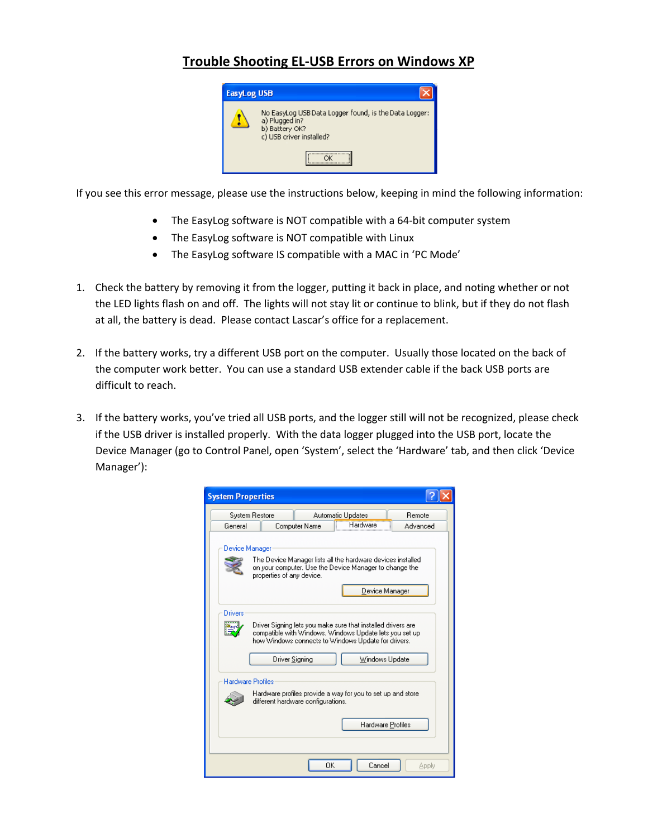## **Trouble Shooting EL‐USB Errors on Windows XP**



If you see this error message, please use the instructions below, keeping in mind the following information:

- The EasyLog software is NOT compatible with a 64‐bit computer system
- The EasyLog software is NOT compatible with Linux
- The EasyLog software IS compatible with a MAC in 'PC Mode'
- 1. Check the battery by removing it from the logger, putting it back in place, and noting whether or not the LED lights flash on and off. The lights will not stay lit or continue to blink, but if they do not flash at all, the battery is dead. Please contact Lascar's office for a replacement.
- 2. If the battery works, try a different USB port on the computer. Usually those located on the back of the computer work better. You can use a standard USB extender cable if the back USB ports are difficult to reach.
- 3. If the battery works, you've tried all USB ports, and the logger still will not be recognized, please check if the USB driver is installed properly. With the data logger plugged into the USB port, locate the Device Manager (go to Control Panel, open 'System', select the 'Hardware' tab, and then click 'Device Manager'):

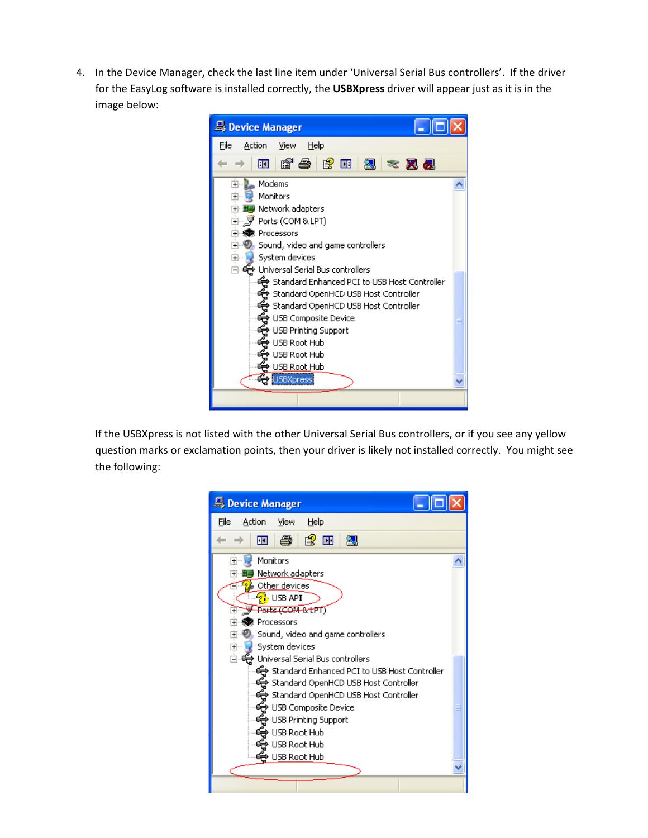4. In the Device Manager, check the last line item under 'Universal Serial Bus controllers'. If the driver for the EasyLog software is installed correctly, the **USBXpress** driver will appear just as it is in the image below:



If the USBXpress is not listed with the other Universal Serial Bus controllers, or if you see any yellow question marks or exclamation points, then your driver is likely not installed correctly. You might see the following:

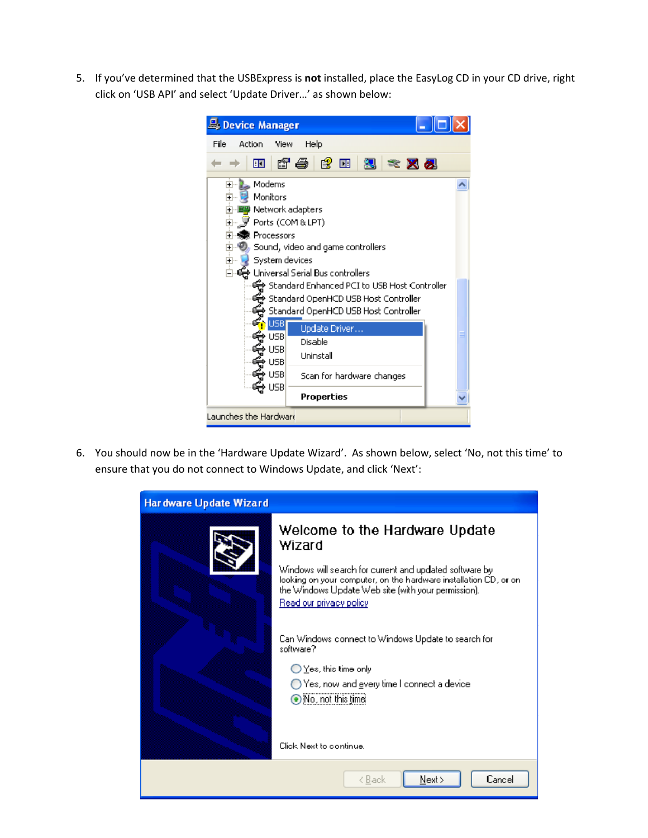5. If you've determined that the USBExpress is **not** installed, place the EasyLog CD in your CD drive, right click on 'USB API' and select 'Update Driver…' as shown below:

| Device Manager                                                                                                                                                                                   |                                                                                                                                                                                                                                                                                                              |  |
|--------------------------------------------------------------------------------------------------------------------------------------------------------------------------------------------------|--------------------------------------------------------------------------------------------------------------------------------------------------------------------------------------------------------------------------------------------------------------------------------------------------------------|--|
| File<br>Help<br>Action<br><b>View</b>                                                                                                                                                            |                                                                                                                                                                                                                                                                                                              |  |
| 囨                                                                                                                                                                                                | 白色白凤之又见                                                                                                                                                                                                                                                                                                      |  |
| Modems<br>$\overline{+}$<br>Monitors<br>$\overline{+}$<br>Ports (COM&LPT)<br>Processors<br>$\overline{+}$<br>$\overline{\mathbf{H}}$<br>System devices<br>Ŧ<br>USB<br>USB<br>⊁ USB<br><b>USB</b> | Network adapters<br>Sound, video and game controllers<br>ક્કિ Universal Serial Bus controllers<br><del>径</del> Standard Enhanced PCI to USB Host Controller<br><del>卷</del> Standard OpenHCD USB Host Contro <b>l</b> ler<br>Standard OpenHCD USB Host Controller ﴿<br>Update Driver<br>Disable<br>Uninstall |  |
| e≥∪ <del>(j</del><br>∳USB                                                                                                                                                                        | Scan for hardware changes                                                                                                                                                                                                                                                                                    |  |
|                                                                                                                                                                                                  | <b>Properties</b>                                                                                                                                                                                                                                                                                            |  |
| Launches the Hardwar <del>i</del>                                                                                                                                                                |                                                                                                                                                                                                                                                                                                              |  |

6. You should now be in the 'Hardware Update Wizard'. As shown below, select 'No, not this time' to ensure that you do not connect to Windows Update, and click 'Next':

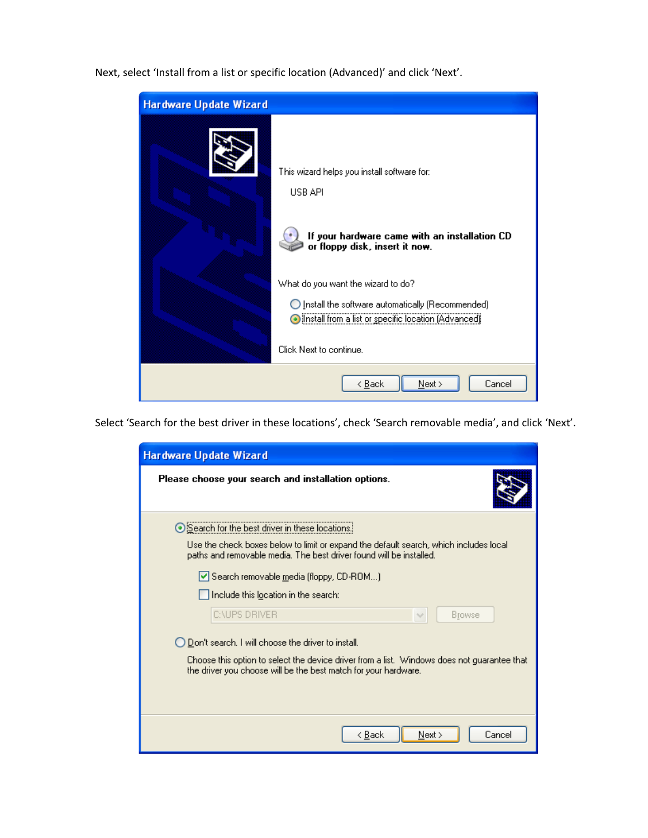Next, select 'Install from a list or specific location (Advanced)' and click 'Next'.

| Hardware Update Wizard |                                                                                                                                                                                                                                                                                                                                                 |
|------------------------|-------------------------------------------------------------------------------------------------------------------------------------------------------------------------------------------------------------------------------------------------------------------------------------------------------------------------------------------------|
|                        | This wizard helps you install software for:<br>USB API<br>If your hardware came with an installation CD<br>or floppy disk, insert it now.<br>What do you want the wizard to do?<br>Install the software automatically (Recommended)<br>$\left( \quad \right)$<br>Install from a list or specific location (Advanced)<br>Click Next to continue. |
|                        | $N$ ext ><br>< <u>B</u> ack<br>Cancel                                                                                                                                                                                                                                                                                                           |

Select 'Search for the best driver in these locations', check 'Search removable media', and click 'Next'.

| Hardware Update Wizard                                                                                                                                         |
|----------------------------------------------------------------------------------------------------------------------------------------------------------------|
| Please choose your search and installation options.                                                                                                            |
| Search for the best driver in these locations.<br>Use the check boxes below to limit or expand the default search, which includes local                        |
| paths and removable media. The best driver found will be installed.                                                                                            |
| Search removable media (floppy, CD-ROM)                                                                                                                        |
| Include this location in the search:                                                                                                                           |
| <b>C:\UPS DRIVER</b><br>Browse                                                                                                                                 |
| O Don't search. I will choose the driver to install.                                                                                                           |
| Choose this option to select the device driver from a list. Windows does not guarantee that<br>the driver you choose will be the best match for your hardware. |
|                                                                                                                                                                |
|                                                                                                                                                                |
| < <u>B</u> ack<br>Cancel<br>Next                                                                                                                               |